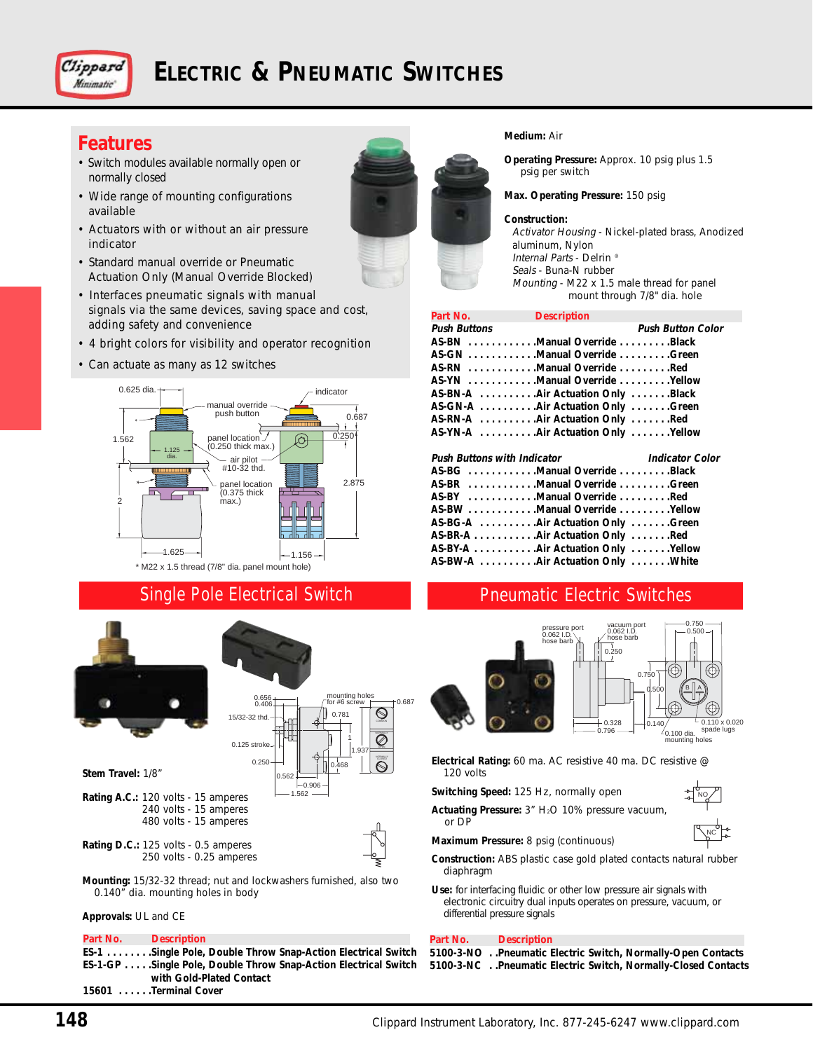

# **ELECTRIC & PNEUMATIC SWITCHES**

## **Features**

- Switch modules available normally open or normally closed
- Wide range of mounting configurations available
- Actuators with or without an air pressure indicator
- Standard manual override or Pneumatic Actuation Only (Manual Override Blocked)
- Interfaces pneumatic signals with manual signals via the same devices, saving space and cost, adding safety and convenience
- 4 bright colors for visibility and operator recognition
- Can actuate as many as 12 switches



### Single Pole Electrical Switch





**Stem Travel:** 1/8"

- **Rating A.C.:** 120 volts 15 amperes 240 volts - 15 amperes 480 volts - 15 amperes
- **Rating D.C.:** 125 volts 0.5 amperes 250 volts - 0.25 amperes

**Mounting:** 15/32-32 thread; nut and lockwashers furnished, also two 0.140" dia. mounting holes in body

#### **Approvals:** UL and CE

#### **Part No. Description**

**ES-1 . . . . . . . .Single Pole, Double Throw Snap-Action Electrical Switch ES-1-GP . . . . .Single Pole, Double Throw Snap-Action Electrical Switch with Gold-Plated Contact 15601 . . . . . .Terminal Cover**



#### **Medium:** Air

**Operating Pressure:** Approx. 10 psig plus 1.5 psig per switch

**Max. Operating Pressure:** 150 psig

#### **Construction:**

Activator Housing - Nickel-plated brass, Anodized aluminum, Nylon Internal Parts - Delrin ® Seals - Buna-N rubber Mounting - M22 x 1.5 male thread for panel mount through 7/8" dia. hole

| Part No.                           | <b>Description</b>                 |                          |
|------------------------------------|------------------------------------|--------------------------|
| Push Buttons                       |                                    | <b>Push Button Color</b> |
|                                    | AS-BN Manual Override Black        |                          |
|                                    | AS-GN Manual Override Green        |                          |
|                                    | AS-RN Manual Override Red          |                          |
|                                    | AS-YN Manual Override Yellow       |                          |
|                                    | AS-BN-A  Air Actuation Only Black  |                          |
|                                    | AS-GN-A Air Actuation Only Green   |                          |
|                                    |                                    |                          |
|                                    | AS-YN-A  Air Actuation Only Yellow |                          |
|                                    |                                    |                          |
|                                    |                                    |                          |
| <b>Push Buttons with Indicator</b> |                                    | <b>Indicator Color</b>   |
|                                    | AS-BG Manual Override Black        |                          |
|                                    | AS-BR Manual Override Green        |                          |
|                                    | AS-BY Manual Override Red          |                          |
|                                    | AS-BW Manual Override Yellow       |                          |
|                                    | AS-BG-A Air Actuation Only Green   |                          |
|                                    | AS-BR-A Air Actuation Only Red     |                          |
|                                    | AS-BY-A Air Actuation Only Yellow  |                          |
|                                    | AS-BW-A Air Actuation Only White   |                          |

### Pneumatic Electric Switches





NO

NC

**Electrical Rating:** 60 ma. AC resistive 40 ma. DC resistive @ 120 volts

**Switching Speed:** 125 Hz, normally open

- Actuating Pressure: 3" H<sub>2</sub>O 10% pressure vacuum, or DP
- **Maximum Pressure:** 8 psig (continuous)
- **Construction:** ABS plastic case gold plated contacts natural rubber diaphragm
- **Use:** for interfacing fluidic or other low pressure air signals with electronic circuitry dual inputs operates on pressure, vacuum, or differential pressure signals

### **Part No. Description**

**5100-3-NO . .Pneumatic Electric Switch, Normally-Open Contacts 5100-3-NC . .Pneumatic Electric Switch, Normally-Closed Contacts**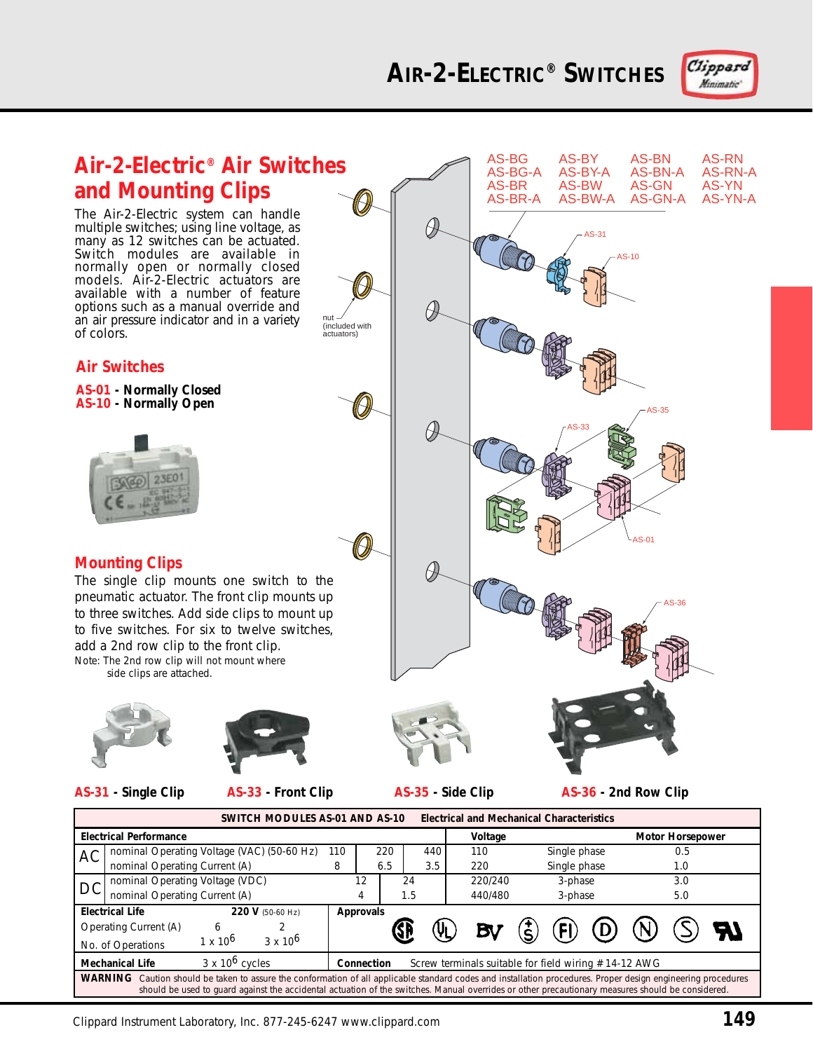

Ĥ,

O,

 $\partial\!\!\!\!/$ 

 $\partial\hspace{-1.2ex}\partial$ 

AS-31

AS-BW-A

AS-33

AS-10

AS-BG AS-BY AS-BN AS-RN<br>AS-BG-A AS-BY-A AS-BN-A AS-RN-AS-BG-A AS-BY-A AS-BN-A AS-RN-A AS-BR AS-BW AS-GN AS-YN<br>AS-BR-A AS-BW-A AS-GN-A AS-YN-A

AS-35

AS-01

AS-36



## **Air-2-Electric® Air Switches and Mounting Clips**

The Air-2-Electric system can handle multiple switches; using line voltage, as many as 12 switches can be actuated. Switch modules are available in normally open or normally closed models. Air-2-Electric actuators are available with a number of feature options such as a manual override and an air pressure indicator and in a variety of colors.

### **Air Switches**

**AS-01 - Normally Closed AS-10 - Normally Open**



### **Mounting Clips**

The single clip mounts one switch to the pneumatic actuator. The front clip mounts up to three switches. Add side clips to mount up to five switches. For six to twelve switches, add a 2nd row clip to the front clip.

Note: The 2nd row clip will not mount where side clips are attached.



**AS-31 - Single Clip AS-33 - Front Clip AS-35 - Side Clip**

nut (included with actuators)

**AS-36 - 2nd Row Clip**

| <b>Electrical and Mechanical Characteristics</b><br>SWITCH MODULES AS-01 AND AS-10                                                                                                                                                                                                                                   |                               |                                            |                                                                    |     |     |     |         |         |                         |                                                 |     |  |
|----------------------------------------------------------------------------------------------------------------------------------------------------------------------------------------------------------------------------------------------------------------------------------------------------------------------|-------------------------------|--------------------------------------------|--------------------------------------------------------------------|-----|-----|-----|---------|---------|-------------------------|-------------------------------------------------|-----|--|
| <b>Electrical Performance</b>                                                                                                                                                                                                                                                                                        |                               |                                            |                                                                    |     |     |     | Voltage |         | <b>Motor Horsepower</b> |                                                 |     |  |
| AC                                                                                                                                                                                                                                                                                                                   |                               | nominal Operating Voltage (VAC) (50-60 Hz) |                                                                    | 110 |     | 220 |         | 440     | 110                     | Single phase                                    | 0.5 |  |
|                                                                                                                                                                                                                                                                                                                      | nominal Operating Current (A) |                                            | 8                                                                  |     | 6.5 |     | 3.5     | 220     | Single phase            | 1.0                                             |     |  |
| <b>DC</b>                                                                                                                                                                                                                                                                                                            |                               | nominal Operating Voltage (VDC)            |                                                                    |     | 12  |     | 24      |         | 220/240                 | 3-phase                                         | 3.0 |  |
|                                                                                                                                                                                                                                                                                                                      | nominal Operating Current (A) |                                            |                                                                    | 4   |     | 1.5 |         | 440/480 | 3-phase                 | 5.0                                             |     |  |
| 220 V (50-60 Hz)<br><b>Electrical Life</b>                                                                                                                                                                                                                                                                           |                               |                                            | <b>Approvals</b>                                                   |     |     |     |         |         |                         |                                                 |     |  |
|                                                                                                                                                                                                                                                                                                                      | Operating Current (A)         | 6                                          |                                                                    |     |     |     |         | (VL)    |                         | $\boldsymbol{\dot{\mathsf{s}}}$<br>$\left($ FI) | (N) |  |
|                                                                                                                                                                                                                                                                                                                      | No. of Operations             | $1 \times 10^{6}$                          | $3 \times 10^6$                                                    |     |     |     |         |         |                         |                                                 |     |  |
| $3 \times 10^6$ cycles<br><b>Mechanical Life</b>                                                                                                                                                                                                                                                                     |                               |                                            | Screw terminals suitable for field wiring #14-12 AWG<br>Connection |     |     |     |         |         |                         |                                                 |     |  |
| WARNING<br>Caution should be taken to assure the conformation of all applicable standard codes and installation procedures. Proper design engineering procedures<br>should be used to quard against the accidental actuation of the switches. Manual overrides or other precautionary measures should be considered. |                               |                                            |                                                                    |     |     |     |         |         |                         |                                                 |     |  |